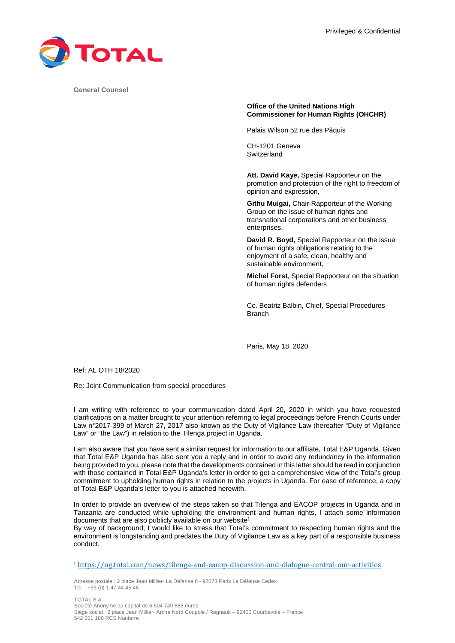

**General Counsel** 

# **Office of the United Nations High Commissioner for Human Rights (OHCHR)**

Palais Wilson 52 rue des Pâquis

CH-1201 Geneva **Switzerland** 

**Att. David Kaye,** Special Rapporteur on the promotion and protection of the right to freedom of opinion and expression,

**Githu Muigai,** Chair-Rapporteur of the Working Group on the issue of human rights and transnational corporations and other business enterprises,

**David R. Boyd,** Special Rapporteur on the issue of human rights obligations relating to the enjoyment of a safe, clean, healthy and sustainable environment,

**Michel Forst**, Special Rapporteur on the situation of human rights defenders

Cc. Beatriz Balbin, Chief, Special Procedures Branch

Paris, May 18, 2020

Ref: AL OTH 18/2020

Re: Joint Communication from special procedures

I am writing with reference to your communication dated April 20, 2020 in which you have requested clarifications on a matter brought to your attention referring to legal proceedings before French Courts under Law n°2017-399 of March 27, 2017 also known as the Duty of Vigilance Law (hereafter "Duty of Vigilance Law" or "the Law") in relation to the Tilenga project in Uganda.

I am also aware that you have sent a similar request for information to our affiliate, Total E&P Uganda. Given that Total E&P Uganda has also sent you a reply and in order to avoid any redundancy in the information being provided to you, please note that the developments contained in this letter should be read in conjunction with those contained in Total E&P Uganda's letter in order to get a comprehensive view of the Total's group commitment to upholding human rights in relation to the projects in Uganda. For ease of reference, a copy of Total E&P Uganda's letter to you is attached herewith.

In order to provide an overview of the steps taken so that Tilenga and EACOP projects in Uganda and in Tanzania are conducted while upholding the environment and human rights, I attach some information documents that are also publicly available on our website<sup>1</sup>.

By way of background, I would like to stress that Total's commitment to respecting human rights and the environment is longstanding and predates the Duty of Vigilance Law as a key part of a responsible business conduct.

Adresse postale : 2 place Jean Millier- La Défense 6 - 92078 Paris La Défense Cedex Tél. : +33 (0) 1 47 44 45 46

TOTAL S.A. Société Anonyme au capital de 6 504 749 885 euros Siège social : 2 place Jean Millier- Arche Nord Coupole / Regnault – 92400 Courbevoie – France 542 051 180 RCS Nanterre

<sup>1</sup> https://ug.total.com/news/tilenga-and-eacop-discussion-and-dialogue-central-our-activities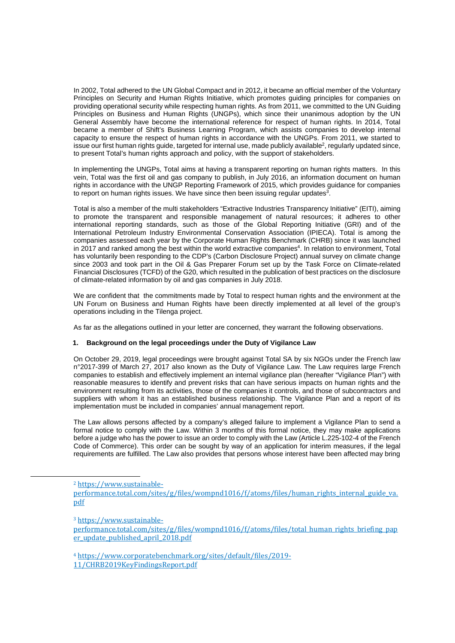In 2002, Total adhered to the UN Global Compact and in 2012, it became an official member of the Voluntary Principles on Security and Human Rights Initiative, which promotes guiding principles for companies on providing operational security while respecting human rights. As from 2011, we committed to the UN Guiding Principles on Business and Human Rights (UNGPs), which since their unanimous adoption by the UN General Assembly have become the international reference for respect of human rights. In 2014, Total became a member of Shift's Business Learning Program, which assists companies to develop internal capacity to ensure the respect of human rights in accordance with the UNGPs. From 2011, we started to issue our first human rights guide, targeted for internal use, made publicly available<sup>2</sup>, regularly updated since, to present Total's human rights approach and policy, with the support of stakeholders.

In implementing the UNGPs, Total aims at having a transparent reporting on human rights matters. In this vein, Total was the first oil and gas company to publish, in July 2016, an information document on human rights in accordance with the UNGP Reporting Framework of 2015, which provides guidance for companies to report on human rights issues. We have since then been issuing regular updates $3$ .

Total is also a member of the multi stakeholders "Extractive Industries Transparency Initiative" (EITI), aiming to promote the transparent and responsible management of natural resources; it adheres to other international reporting standards, such as those of the Global Reporting Initiative (GRI) and of the International Petroleum Industry Environmental Conservation Association (IPIECA). Total is among the companies assessed each year by the Corporate Human Rights Benchmark (CHRB) since it was launched in 2017 and ranked among the best within the world extractive companies<sup>4</sup>. In relation to environment, Total has voluntarily been responding to the CDP's (Carbon Disclosure Project) annual survey on climate change since 2003 and took part in the Oil & Gas Preparer Forum set up by the Task Force on Climate-related Financial Disclosures (TCFD) of the G20, which resulted in the publication of best practices on the disclosure of climate-related information by oil and gas companies in July 2018.

We are confident that the commitments made by Total to respect human rights and the environment at the UN Forum on Business and Human Rights have been directly implemented at all level of the group's operations including in the Tilenga project.

As far as the allegations outlined in your letter are concerned, they warrant the following observations.

## **1. Background on the legal proceedings under the Duty of Vigilance Law**

On October 29, 2019, legal proceedings were brought against Total SA by six NGOs under the French law n°2017-399 of March 27, 2017 also known as the Duty of Vigilance Law. The Law requires large French companies to establish and effectively implement an internal vigilance plan (hereafter "Vigilance Plan") with reasonable measures to identify and prevent risks that can have serious impacts on human rights and the environment resulting from its activities, those of the companies it controls, and those of subcontractors and suppliers with whom it has an established business relationship. The Vigilance Plan and a report of its implementation must be included in companies' annual management report.

The Law allows persons affected by a company's alleged failure to implement a Vigilance Plan to send a formal notice to comply with the Law. Within 3 months of this formal notice, they may make applications before a judge who has the power to issue an order to comply with the Law (Article L.225-102-4 of the French Code of Commerce). This order can be sought by way of an application for interim measures, if the legal requirements are fulfilled. The Law also provides that persons whose interest have been affected may bring

<sup>4</sup> https://www.corporatebenchmark.org/sites/default/files/2019- 11/CHRB2019KeyFindingsReport.pdf

<sup>2</sup> https://www.sustainable-

performance.total.com/sites/g/files/wompnd1016/f/atoms/files/human\_rights\_internal\_guide\_va. pdf

<sup>3</sup> https://www.sustainable-

performance.total.com/sites/g/files/wompnd1016/f/atoms/files/total\_human\_rights\_briefing\_pap er update published april 2018.pdf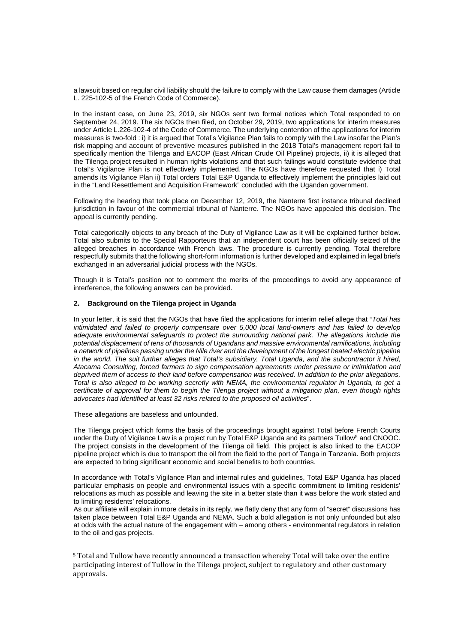a lawsuit based on regular civil liability should the failure to comply with the Law cause them damages (Article L. 225-102-5 of the French Code of Commerce).

In the instant case, on June 23, 2019, six NGOs sent two formal notices which Total responded to on September 24, 2019. The six NGOs then filed, on October 29, 2019, two applications for interim measures under Article L.226-102-4 of the Code of Commerce. The underlying contention of the applications for interim measures is two-fold : i) it is argued that Total's Vigilance Plan fails to comply with the Law insofar the Plan's risk mapping and account of preventive measures published in the 2018 Total's management report fail to specifically mention the Tilenga and EACOP (East African Crude Oil Pipeline) projects, ii) it is alleged that the Tilenga project resulted in human rights violations and that such failings would constitute evidence that Total's Vigilance Plan is not effectively implemented. The NGOs have therefore requested that i) Total amends its Vigilance Plan ii) Total orders Total E&P Uganda to effectively implement the principles laid out in the "Land Resettlement and Acquisition Framework" concluded with the Ugandan government.

Following the hearing that took place on December 12, 2019, the Nanterre first instance tribunal declined jurisdiction in favour of the commercial tribunal of Nanterre. The NGOs have appealed this decision. The appeal is currently pending.

Total categorically objects to any breach of the Duty of Vigilance Law as it will be explained further below. Total also submits to the Special Rapporteurs that an independent court has been officially seized of the alleged breaches in accordance with French laws. The procedure is currently pending. Total therefore respectfully submits that the following short-form information is further developed and explained in legal briefs exchanged in an adversarial judicial process with the NGOs.

Though it is Total's position not to comment the merits of the proceedings to avoid any appearance of interference, the following answers can be provided.

## **2. Background on the Tilenga project in Uganda**

In your letter, it is said that the NGOs that have filed the applications for interim relief allege that "*Total has intimidated and failed to properly compensate over 5,000 local land-owners and has failed to develop adequate environmental safeguards to protect the surrounding national park. The allegations include the potential displacement of tens of thousands of Ugandans and massive environmental ramifications, including a network of pipelines passing under the Nile river and the development of the longest heated electric pipeline in the world. The suit further alleges that Total's subsidiary, Total Uganda, and the subcontractor it hired, Atacama Consulting, forced farmers to sign compensation agreements under pressure or intimidation and deprived them of access to their land before compensation was received. In addition to the prior allegations, Total is also alleged to be working secretly with NEMA, the environmental regulator in Uganda, to get a certificate of approval for them to begin the Tilenga project without a mitigation plan, even though rights advocates had identified at least 32 risks related to the proposed oil activities*".

These allegations are baseless and unfounded.

The Tilenga project which forms the basis of the proceedings brought against Total before French Courts under the Duty of Vigilance Law is a project run by Total E&P Uganda and its partners Tullow<sup>5</sup> and CNOOC. The project consists in the development of the Tilenga oil field. This project is also linked to the EACOP pipeline project which is due to transport the oil from the field to the port of Tanga in Tanzania. Both projects are expected to bring significant economic and social benefits to both countries.

In accordance with Total's Vigilance Plan and internal rules and guidelines, Total E&P Uganda has placed particular emphasis on people and environmental issues with a specific commitment to limiting residents' relocations as much as possible and leaving the site in a better state than it was before the work stated and to limiting residents' relocations.

As our affiliate will explain in more details in its reply, we flatly deny that any form of "secret" discussions has taken place between Total E&P Uganda and NEMA. Such a bold allegation is not only unfounded but also at odds with the actual nature of the engagement with – among others - environmental regulators in relation to the oil and gas projects.

<sup>5</sup> Total and Tullow have recently announced a transaction whereby Total will take over the entire participating interest of Tullow in the Tilenga project, subject to regulatory and other customary approvals.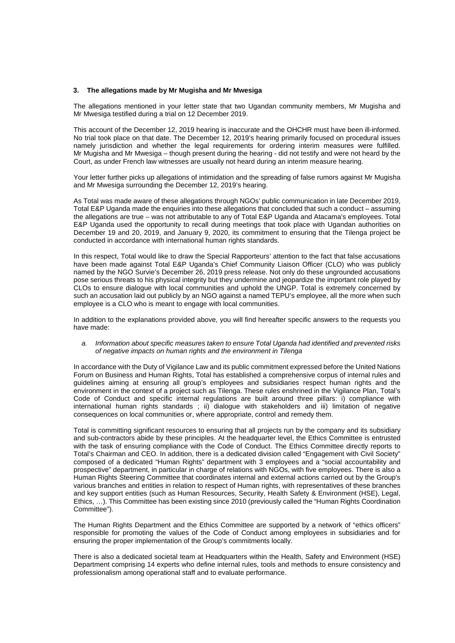#### **3. The allegations made by Mr Mugisha and Mr Mwesiga**

The allegations mentioned in your letter state that two Ugandan community members, Mr Mugisha and Mr Mwesiga testified during a trial on 12 December 2019.

This account of the December 12, 2019 hearing is inaccurate and the OHCHR must have been ill-informed. No trial took place on that date. The December 12, 2019's hearing primarily focused on procedural issues namely jurisdiction and whether the legal requirements for ordering interim measures were fulfilled. Mr Mugisha and Mr Mwesiga – though present during the hearing - did not testify and were not heard by the Court, as under French law witnesses are usually not heard during an interim measure hearing.

Your letter further picks up allegations of intimidation and the spreading of false rumors against Mr Mugisha and Mr Mwesiga surrounding the December 12, 2019's hearing.

As Total was made aware of these allegations through NGOs' public communication in late December 2019, Total E&P Uganda made the enquiries into these allegations that concluded that such a conduct – assuming the allegations are true – was not attributable to any of Total E&P Uganda and Atacama's employees. Total E&P Uganda used the opportunity to recall during meetings that took place with Ugandan authorities on December 19 and 20, 2019, and January 9, 2020, its commitment to ensuring that the Tilenga project be conducted in accordance with international human rights standards.

In this respect, Total would like to draw the Special Rapporteurs' attention to the fact that false accusations have been made against Total E&P Uganda's Chief Community Liaison Officer (CLO) who was publicly named by the NGO Survie's December 26, 2019 press release. Not only do these ungrounded accusations pose serious threats to his physical integrity but they undermine and jeopardize the important role played by CLOs to ensure dialogue with local communities and uphold the UNGP. Total is extremely concerned by such an accusation laid out publicly by an NGO against a named TEPU's employee, all the more when such employee is a CLO who is meant to engage with local communities.

In addition to the explanations provided above, you will find hereafter specific answers to the requests you have made:

#### *a. Information about specific measures taken to ensure Total Uganda had identified and prevented risks of negative impacts on human rights and the environment in Tilenga*

In accordance with the Duty of Vigilance Law and its public commitment expressed before the United Nations Forum on Business and Human Rights, Total has established a comprehensive corpus of internal rules and guidelines aiming at ensuring all group's employees and subsidiaries respect human rights and the environment in the context of a project such as Tilenga. These rules enshrined in the Vigilance Plan, Total's Code of Conduct and specific internal regulations are built around three pillars: i) compliance with international human rights standards; ii) dialogue with stakeholders and iii) limitation of negative consequences on local communities or, where appropriate, control and remedy them.

Total is committing significant resources to ensuring that all projects run by the company and its subsidiary and sub-contractors abide by these principles. At the headquarter level, the Ethics Committee is entrusted with the task of ensuring compliance with the Code of Conduct. The Ethics Committee directly reports to Total's Chairman and CEO. In addition, there is a dedicated division called "Engagement with Civil Society" composed of a dedicated "Human Rights" department with 3 employees and a "social accountability and prospective" department, in particular in charge of relations with NGOs, with five employees. There is also a Human Rights Steering Committee that coordinates internal and external actions carried out by the Group's various branches and entities in relation to respect of Human rights, with representatives of these branches and key support entities (such as Human Resources, Security, Health Safety & Environment (HSE), Legal, Ethics, …). This Committee has been existing since 2010 (previously called the "Human Rights Coordination Committee").

The Human Rights Department and the Ethics Committee are supported by a network of "ethics officers" responsible for promoting the values of the Code of Conduct among employees in subsidiaries and for ensuring the proper implementation of the Group's commitments locally.

There is also a dedicated societal team at Headquarters within the Health, Safety and Environment (HSE) Department comprising 14 experts who define internal rules, tools and methods to ensure consistency and professionalism among operational staff and to evaluate performance.